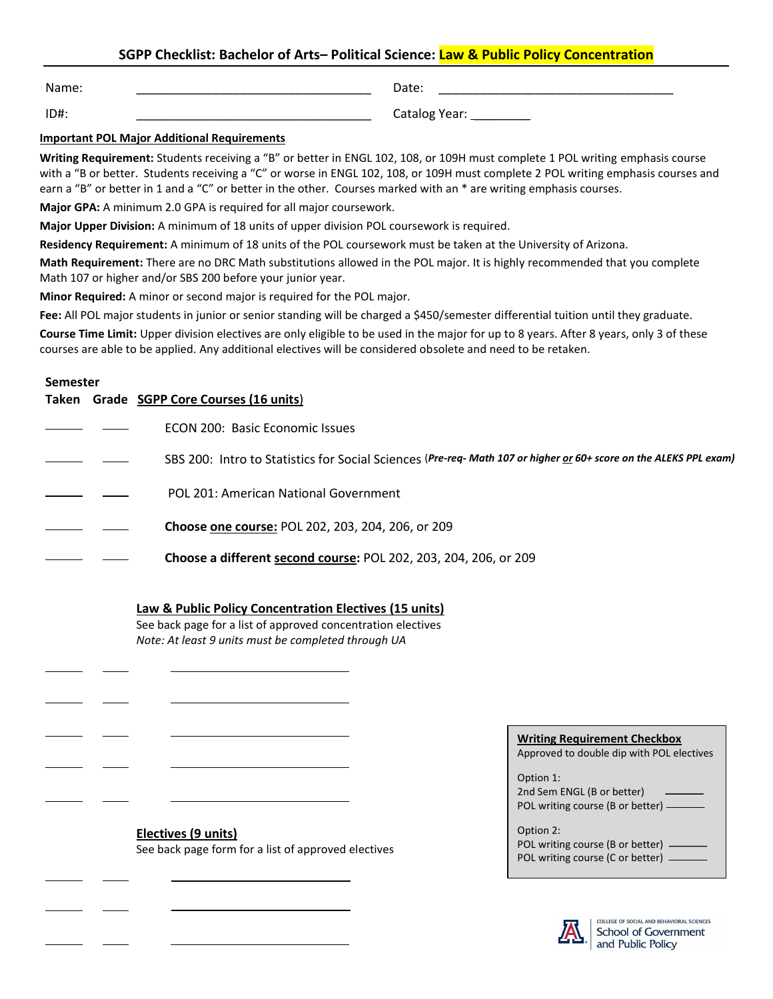# **SGPP Checklist: Bachelor of Arts– Political Science: Law & Public Policy Concentration**

Name: \_\_\_\_\_\_\_\_\_\_\_\_\_\_\_\_\_\_\_\_\_\_\_\_\_\_\_\_\_\_\_\_\_\_

ID#: \_\_\_\_\_\_\_\_\_\_\_\_\_\_\_\_\_\_\_\_\_\_\_\_\_\_\_\_\_\_\_\_\_\_

Catalog Year: \_\_\_\_\_\_\_\_\_\_

## **Important POL Major Additional Requirements**

**Writing Requirement:** Students receiving a "B" or better in ENGL 102, 108, or 109H must complete 1 POL writing emphasis course with a "B or better. Students receiving a "C" or worse in ENGL 102, 108, or 109H must complete 2 POL writing emphasis courses and earn a "B" or better in 1 and a "C" or better in the other. Courses marked with an \* are writing emphasis courses.

**Major GPA:** A minimum 2.0 GPA is required for all major coursework.

**Major Upper Division:** A minimum of 18 units of upper division POL coursework is required.

**Residency Requirement:** A minimum of 18 units of the POL coursework must be taken at the University of Arizona.

**Math Requirement:** There are no DRC Math substitutions allowed in the POL major. It is highly recommended that you complete Math 107 or higher and/or SBS 200 before your junior year.

**Minor Required:** A minor or second major is required for the POL major.

Fee: All POL major students in junior or senior standing will be charged a \$450/semester differential tuition until they graduate.

**Course Time Limit:** Upper division electives are only eligible to be used in the major for up to 8 years. After 8 years, only 3 of these courses are able to be applied. Any additional electives will be considered obsolete and need to be retaken.

## **Semester**

 $\overline{a}$ 

l

 $\overline{a}$ 

 $\overline{a}$ 

|  | Taken Grade SGPP Core Courses (16 units)                                                                          |
|--|-------------------------------------------------------------------------------------------------------------------|
|  | ECON 200: Basic Economic Issues                                                                                   |
|  | SBS 200: Intro to Statistics for Social Sciences (Pre-req- Math 107 or higher or 60+ score on the ALEKS PPL exam) |
|  | POL 201: American National Government                                                                             |
|  | <b>Choose one course: POL 202, 203, 204, 206, or 209</b>                                                          |
|  | <b>Choose a different second course: POL 202, 203, 204, 206, or 209</b>                                           |

## **Law & Public Policy Concentration Electives (15 units)**

See back page for a list of approved concentration electives *Note: At least 9 units must be completed through UA*

| <b>Writing Requirement Checkbox</b> |
|-------------------------------------|
|-------------------------------------|

Approved to double dip with POL electives

| Option 1:                          |  |
|------------------------------------|--|
| 2nd Sem ENGL (B or better)         |  |
| POL writing course (B or better) – |  |

| Option 2:                          |
|------------------------------------|
| POL writing course (B or better) — |
| POL writing course (C or better) — |



COLLEGE OF SOCIAL AND BEHAVIORAL SCIENCES **School of Government** and Public Policy

# **Electives (9 units)**  See back page form for a list of approved electives